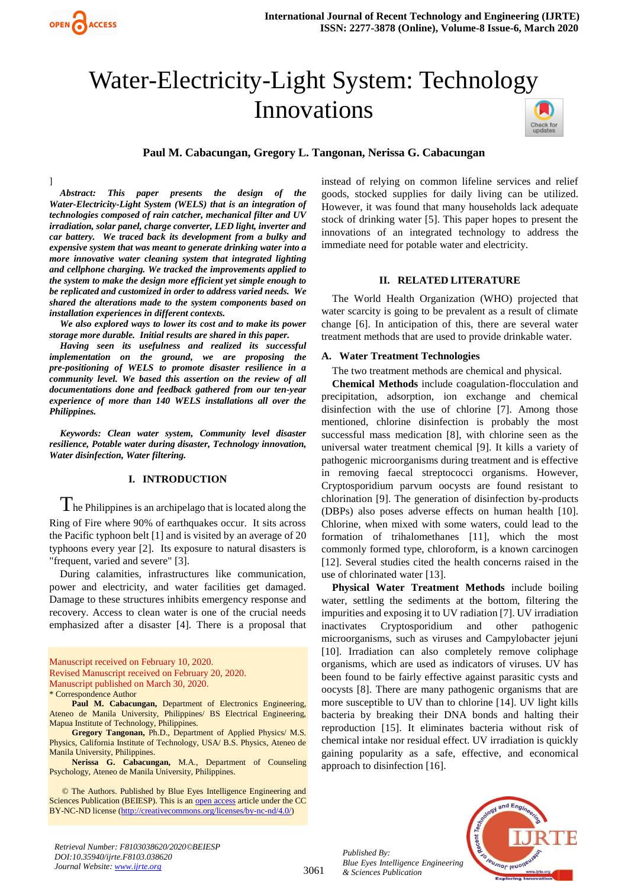

# Water-Electricity-Light System: Technology Innovations



#### **Paul M. Cabacungan, Gregory L. Tangonan, Nerissa G. Cabacungan**

] *Abstract: This paper presents the design of the Water-Electricity-Light System (WELS) that is an integration of technologies composed of rain catcher, mechanical filter and UV irradiation, solar panel, charge converter, LED light, inverter and car battery. We traced back its development from a bulky and expensive system that was meant to generate drinking water into a more innovative water cleaning system that integrated lighting and cellphone charging. We tracked the improvements applied to the system to make the design more efficient yet simple enough to be replicated and customized in order to address varied needs. We shared the alterations made to the system components based on installation experiences in different contexts.*

*We also explored ways to lower its cost and to make its power storage more durable. Initial results are shared in this paper.*

*Having seen its usefulness and realized its successful implementation on the ground, we are proposing the pre-positioning of WELS to promote disaster resilience in a community level. We based this assertion on the review of all documentations done and feedback gathered from our ten-year experience of more than 140 WELS installations all over the Philippines.*

*Keywords: Clean water system, Community level disaster resilience, Potable water during disaster, Technology innovation, Water disinfection, Water filtering.*

## **I. INTRODUCTION**

 $\Gamma$  he Philippines is an archipelago that is located along the Ring of Fire where 90% of earthquakes occur. It sits across the Pacific typhoon belt [1] and is visited by an average of 20 typhoons every year [2]. Its exposure to natural disasters is "frequent, varied and severe" [3].

During calamities, infrastructures like communication, power and electricity, and water facilities get damaged. Damage to these structures inhibits emergency response and recovery. Access to clean water is one of the crucial needs emphasized after a disaster [4]. There is a proposal that

Manuscript received on February 10, 2020. Revised Manuscript received on February 20, 2020. Manuscript published on March 30, 2020.

**Paul M. Cabacungan,** Department of Electronics Engineering, Ateneo de Manila University, Philippines/ BS Electrical Engineering, Mapua Institute of Technology, Philippines.

**Gregory Tangonan,** Ph.D., Department of Applied Physics/ M.S. Physics, California Institute of Technology, USA/ B.S. Physics, Ateneo de Manila University, Philippines.

**Nerissa G. Cabacungan,** M.A., Department of Counseling Psychology, Ateneo de Manila University, Philippines.

 © The Authors. Published by Blue Eyes Intelligence Engineering and Sciences Publication (BEIESP). This is an [open access](https://www.openaccess.nl/en/open-publications) article under the CC BY-NC-ND license [\(http://creativecommons.org/licenses/by-nc-nd/4.0/\)](http://creativecommons.org/licenses/by-nc-nd/4.0/)

instead of relying on common lifeline services and relief goods, stocked supplies for daily living can be utilized. However, it was found that many households lack adequate stock of drinking water [5]. This paper hopes to present the innovations of an integrated technology to address the immediate need for potable water and electricity.

#### **II. RELATED LITERATURE**

The World Health Organization (WHO) projected that water scarcity is going to be prevalent as a result of climate change [6]. In anticipation of this, there are several water treatment methods that are used to provide drinkable water.

#### **A. Water Treatment Technologies**

The two treatment methods are chemical and physical.

**Chemical Methods** include coagulation-flocculation and precipitation, adsorption, ion exchange and chemical disinfection with the use of chlorine [7]. Among those mentioned, chlorine disinfection is probably the most successful mass medication [8], with chlorine seen as the universal water treatment chemical [9]. It kills a variety of pathogenic microorganisms during treatment and is effective in removing faecal streptococci organisms. However, Cryptosporidium parvum oocysts are found resistant to chlorination [9]. The generation of disinfection by-products (DBPs) also poses adverse effects on human health [10]. Chlorine, when mixed with some waters, could lead to the formation of trihalomethanes [11], which the most commonly formed type, chloroform, is a known carcinogen [12]. Several studies cited the health concerns raised in the use of chlorinated water [13].

**Physical Water Treatment Methods** include boiling water, settling the sediments at the bottom, filtering the impurities and exposing it to UV radiation [7]. UV irradiation inactivates Cryptosporidium and other pathogenic microorganisms, such as viruses and Campylobacter jejuni [10]. Irradiation can also completely remove coliphage organisms, which are used as indicators of viruses. UV has been found to be fairly effective against parasitic cysts and oocysts [8]. There are many pathogenic organisms that are more susceptible to UV than to chlorine [14]. UV light kills bacteria by breaking their DNA bonds and halting their reproduction [15]. It eliminates bacteria without risk of chemical intake nor residual effect. UV irradiation is quickly gaining popularity as a safe, effective, and economical approach to disinfection [16].

*Retrieval Number: F8103038620/2020©BEIESP DOI:10.35940/ijrte.F8103.038620 Journal Website: www.ijrte.org*

3061

*Published By: Blue Eyes Intelligence Engineering & Sciences Publication* 



<sup>\*</sup> Correspondence Author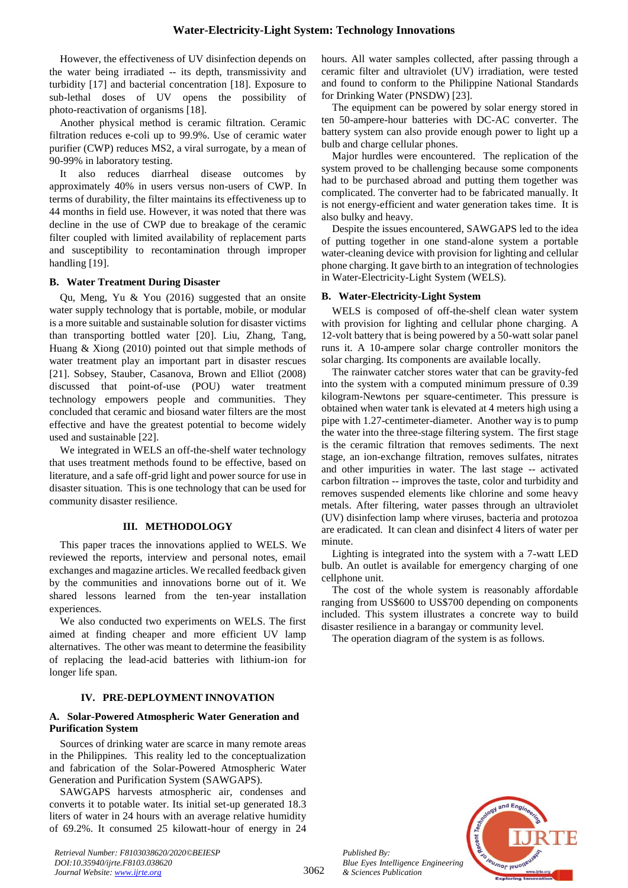However, the effectiveness of UV disinfection depends on the water being irradiated -- its depth, transmissivity and turbidity [17] and bacterial concentration [18]. Exposure to sub-lethal doses of UV opens the possibility of photo-reactivation of organisms [18].

Another physical method is ceramic filtration. Ceramic filtration reduces e-coli up to 99.9%. Use of ceramic water purifier (CWP) reduces MS2, a viral surrogate, by a mean of 90-99% in laboratory testing.

It also reduces diarrheal disease outcomes by approximately 40% in users versus non-users of CWP. In terms of durability, the filter maintains its effectiveness up to 44 months in field use. However, it was noted that there was decline in the use of CWP due to breakage of the ceramic filter coupled with limited availability of replacement parts and susceptibility to recontamination through improper handling [19].

#### **B. Water Treatment During Disaster**

Qu, Meng, Yu & You (2016) suggested that an onsite water supply technology that is portable, mobile, or modular is a more suitable and sustainable solution for disaster victims than transporting bottled water [20]. Liu, Zhang, Tang, Huang & Xiong (2010) pointed out that simple methods of water treatment play an important part in disaster rescues [21]. Sobsey, Stauber, Casanova, Brown and Elliot (2008) discussed that point-of-use (POU) water treatment technology empowers people and communities. They concluded that ceramic and biosand water filters are the most effective and have the greatest potential to become widely used and sustainable [22].

We integrated in WELS an off-the-shelf water technology that uses treatment methods found to be effective, based on literature, and a safe off-grid light and power source for use in disaster situation. This is one technology that can be used for community disaster resilience.

#### **III. METHODOLOGY**

This paper traces the innovations applied to WELS. We reviewed the reports, interview and personal notes, email exchanges and magazine articles. We recalled feedback given by the communities and innovations borne out of it. We shared lessons learned from the ten-year installation experiences.

We also conducted two experiments on WELS. The first aimed at finding cheaper and more efficient UV lamp alternatives. The other was meant to determine the feasibility of replacing the lead-acid batteries with lithium-ion for longer life span.

# **IV. PRE-DEPLOYMENT INNOVATION**

#### **A. Solar-Powered Atmospheric Water Generation and Purification System**

Sources of drinking water are scarce in many remote areas in the Philippines. This reality led to the conceptualization and fabrication of the Solar-Powered Atmospheric Water Generation and Purification System (SAWGAPS).

SAWGAPS harvests atmospheric air, condenses and converts it to potable water. Its initial set-up generated 18.3 liters of water in 24 hours with an average relative humidity of 69.2%. It consumed 25 kilowatt-hour of energy in 24

*Retrieval Number: F8103038620/2020©BEIESP DOI:10.35940/ijrte.F8103.038620 Journal Website: www.ijrte.org*

hours. All water samples collected, after passing through a ceramic filter and ultraviolet (UV) irradiation, were tested and found to conform to the Philippine National Standards for Drinking Water (PNSDW) [23].

The equipment can be powered by solar energy stored in ten 50-ampere-hour batteries with DC-AC converter. The battery system can also provide enough power to light up a bulb and charge cellular phones.

Major hurdles were encountered. The replication of the system proved to be challenging because some components had to be purchased abroad and putting them together was complicated. The converter had to be fabricated manually. It is not energy-efficient and water generation takes time. It is also bulky and heavy.

Despite the issues encountered, SAWGAPS led to the idea of putting together in one stand-alone system a portable water-cleaning device with provision for lighting and cellular phone charging. It gave birth to an integration of technologies in Water-Electricity-Light System (WELS).

## **B. Water-Electricity-Light System**

WELS is composed of off-the-shelf clean water system with provision for lighting and cellular phone charging. A 12-volt battery that is being powered by a 50-watt solar panel runs it. A 10-ampere solar charge controller monitors the solar charging. Its components are available locally.

The rainwater catcher stores water that can be gravity-fed into the system with a computed minimum pressure of 0.39 kilogram-Newtons per square-centimeter. This pressure is obtained when water tank is elevated at 4 meters high using a pipe with 1.27-centimeter-diameter. Another way is to pump the water into the three-stage filtering system. The first stage is the ceramic filtration that removes sediments. The next stage, an ion-exchange filtration, removes sulfates, nitrates and other impurities in water. The last stage -- activated carbon filtration -- improves the taste, color and turbidity and removes suspended elements like chlorine and some heavy metals. After filtering, water passes through an ultraviolet (UV) disinfection lamp where viruses, bacteria and protozoa are eradicated. It can clean and disinfect 4 liters of water per minute.

Lighting is integrated into the system with a 7-watt LED bulb. An outlet is available for emergency charging of one cellphone unit.

The cost of the whole system is reasonably affordable ranging from US\$600 to US\$700 depending on components included. This system illustrates a concrete way to build disaster resilience in a barangay or community level.

The operation diagram of the system is as follows.



*Published By: Blue Eyes Intelligence Engineering & Sciences Publication*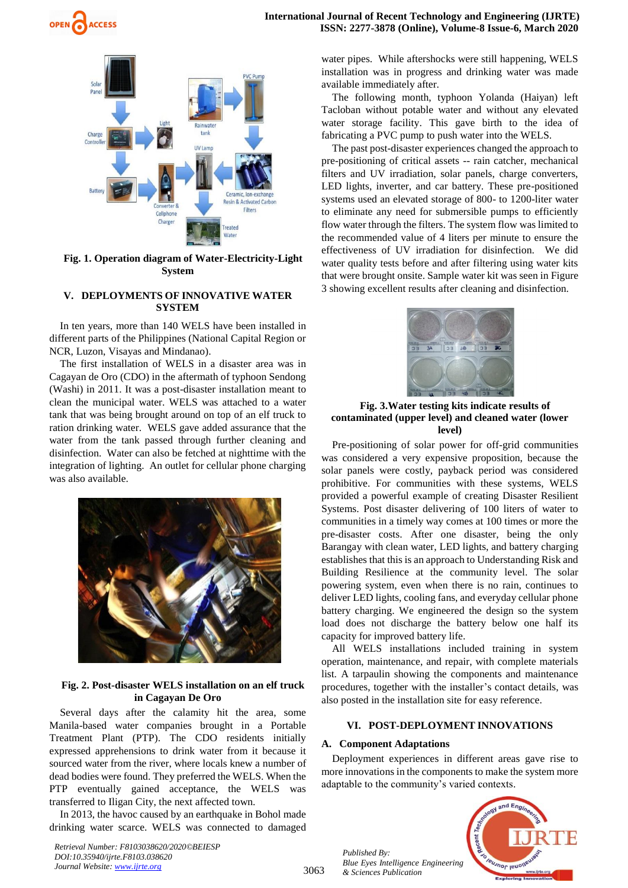

## **Fig. 1. Operation diagram of Water-Electricity-Light System**

## **V. DEPLOYMENTS OF INNOVATIVE WATER SYSTEM**

In ten years, more than 140 WELS have been installed in different parts of the Philippines (National Capital Region or NCR, Luzon, Visayas and Mindanao).

The first installation of WELS in a disaster area was in Cagayan de Oro (CDO) in the aftermath of typhoon Sendong (Washi) in 2011. It was a post-disaster installation meant to clean the municipal water. WELS was attached to a water tank that was being brought around on top of an elf truck to ration drinking water. WELS gave added assurance that the water from the tank passed through further cleaning and disinfection. Water can also be fetched at nighttime with the integration of lighting. An outlet for cellular phone charging was also available.



# **Fig. 2. Post-disaster WELS installation on an elf truck in Cagayan De Oro**

Several days after the calamity hit the area, some Manila-based water companies brought in a Portable Treatment Plant (PTP). The CDO residents initially expressed apprehensions to drink water from it because it sourced water from the river, where locals knew a number of dead bodies were found. They preferred the WELS. When the PTP eventually gained acceptance, the WELS was transferred to Iligan City, the next affected town.

In 2013, the havoc caused by an earthquake in Bohol made drinking water scarce. WELS was connected to damaged

*Retrieval Number: F8103038620/2020©BEIESP DOI:10.35940/ijrte.F8103.038620 Journal Website: www.ijrte.org*

water pipes. While aftershocks were still happening, WELS installation was in progress and drinking water was made available immediately after.

The following month, typhoon Yolanda (Haiyan) left Tacloban without potable water and without any elevated water storage facility. This gave birth to the idea of fabricating a PVC pump to push water into the WELS.

The past post-disaster experiences changed the approach to pre-positioning of critical assets -- rain catcher, mechanical filters and UV irradiation, solar panels, charge converters, LED lights, inverter, and car battery. These pre-positioned systems used an elevated storage of 800- to 1200-liter water to eliminate any need for submersible pumps to efficiently flow water through the filters. The system flow was limited to the recommended value of 4 liters per minute to ensure the effectiveness of UV irradiation for disinfection. We did water quality tests before and after filtering using water kits that were brought onsite. Sample water kit was seen in Figure 3 showing excellent results after cleaning and disinfection.



## **Fig. 3.Water testing kits indicate results of contaminated (upper level) and cleaned water (lower level)**

Pre-positioning of solar power for off-grid communities was considered a very expensive proposition, because the solar panels were costly, payback period was considered prohibitive. For communities with these systems, WELS provided a powerful example of creating Disaster Resilient Systems. Post disaster delivering of 100 liters of water to communities in a timely way comes at 100 times or more the pre-disaster costs. After one disaster, being the only Barangay with clean water, LED lights, and battery charging establishes that this is an approach to Understanding Risk and Building Resilience at the community level. The solar powering system, even when there is no rain, continues to deliver LED lights, cooling fans, and everyday cellular phone battery charging. We engineered the design so the system load does not discharge the battery below one half its capacity for improved battery life.

All WELS installations included training in system operation, maintenance, and repair, with complete materials list. A tarpaulin showing the components and maintenance procedures, together with the installer's contact details, was also posted in the installation site for easy reference.

# **VI. POST-DEPLOYMENT INNOVATIONS**

#### **A. Component Adaptations**

Deployment experiences in different areas gave rise to more innovations in the components to make the system more adaptable to the community's varied contexts.



*Published By: Blue Eyes Intelligence Engineering & Sciences Publication* 

3063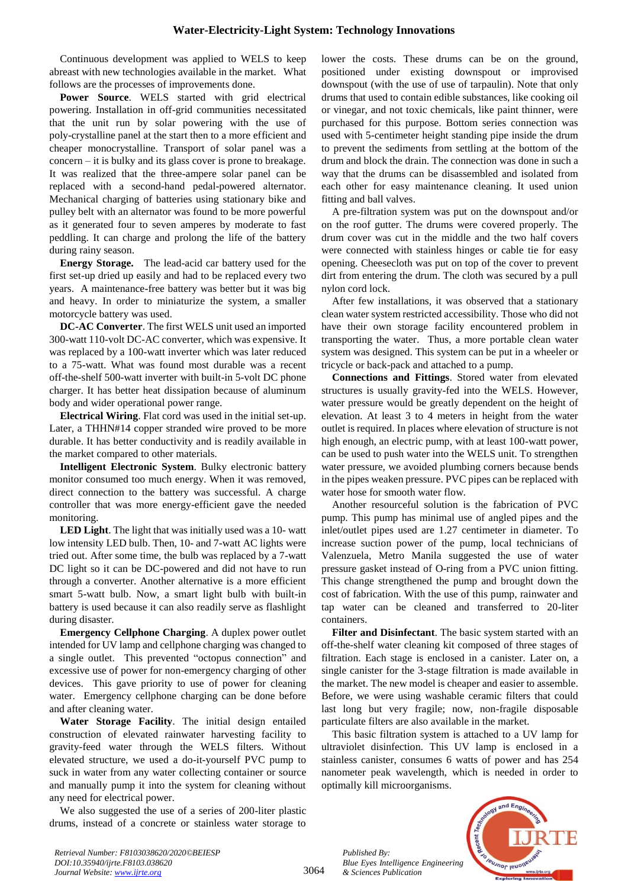Continuous development was applied to WELS to keep abreast with new technologies available in the market. What follows are the processes of improvements done.

Power Source. WELS started with grid electrical powering. Installation in off-grid communities necessitated that the unit run by solar powering with the use of poly-crystalline panel at the start then to a more efficient and cheaper monocrystalline. Transport of solar panel was a concern – it is bulky and its glass cover is prone to breakage. It was realized that the three-ampere solar panel can be replaced with a second-hand pedal-powered alternator. Mechanical charging of batteries using stationary bike and pulley belt with an alternator was found to be more powerful as it generated four to seven amperes by moderate to fast peddling. It can charge and prolong the life of the battery during rainy season.

**Energy Storage.** The lead-acid car battery used for the first set-up dried up easily and had to be replaced every two years. A maintenance-free battery was better but it was big and heavy. In order to miniaturize the system, a smaller motorcycle battery was used.

**DC-AC Converter**. The first WELS unit used an imported 300-watt 110-volt DC-AC converter, which was expensive. It was replaced by a 100-watt inverter which was later reduced to a 75-watt. What was found most durable was a recent off-the-shelf 500-watt inverter with built-in 5-volt DC phone charger. It has better heat dissipation because of aluminum body and wider operational power range.

**Electrical Wiring**. Flat cord was used in the initial set-up. Later, a THHN#14 copper stranded wire proved to be more durable. It has better conductivity and is readily available in the market compared to other materials.

**Intelligent Electronic System**. Bulky electronic battery monitor consumed too much energy. When it was removed, direct connection to the battery was successful. A charge controller that was more energy-efficient gave the needed monitoring.

**LED Light**. The light that was initially used was a 10- watt low intensity LED bulb. Then, 10- and 7-watt AC lights were tried out. After some time, the bulb was replaced by a 7-watt DC light so it can be DC-powered and did not have to run through a converter. Another alternative is a more efficient smart 5-watt bulb. Now, a smart light bulb with built-in battery is used because it can also readily serve as flashlight during disaster.

**Emergency Cellphone Charging**. A duplex power outlet intended for UV lamp and cellphone charging was changed to a single outlet. This prevented "octopus connection" and excessive use of power for non-emergency charging of other devices. This gave priority to use of power for cleaning water. Emergency cellphone charging can be done before and after cleaning water.

**Water Storage Facility**. The initial design entailed construction of elevated rainwater harvesting facility to gravity-feed water through the WELS filters. Without elevated structure, we used a do-it-yourself PVC pump to suck in water from any water collecting container or source and manually pump it into the system for cleaning without any need for electrical power.

We also suggested the use of a series of 200-liter plastic drums, instead of a concrete or stainless water storage to

lower the costs. These drums can be on the ground, positioned under existing downspout or improvised downspout (with the use of use of tarpaulin). Note that only drums that used to contain edible substances, like cooking oil or vinegar, and not toxic chemicals, like paint thinner, were purchased for this purpose. Bottom series connection was used with 5-centimeter height standing pipe inside the drum to prevent the sediments from settling at the bottom of the drum and block the drain. The connection was done in such a way that the drums can be disassembled and isolated from each other for easy maintenance cleaning. It used union fitting and ball valves.

A pre-filtration system was put on the downspout and/or on the roof gutter. The drums were covered properly. The drum cover was cut in the middle and the two half covers were connected with stainless hinges or cable tie for easy opening. Cheesecloth was put on top of the cover to prevent dirt from entering the drum. The cloth was secured by a pull nylon cord lock.

After few installations, it was observed that a stationary clean water system restricted accessibility. Those who did not have their own storage facility encountered problem in transporting the water. Thus, a more portable clean water system was designed. This system can be put in a wheeler or tricycle or back-pack and attached to a pump.

**Connections and Fittings**. Stored water from elevated structures is usually gravity-fed into the WELS. However, water pressure would be greatly dependent on the height of elevation. At least 3 to 4 meters in height from the water outlet is required. In places where elevation of structure is not high enough, an electric pump, with at least 100-watt power, can be used to push water into the WELS unit. To strengthen water pressure, we avoided plumbing corners because bends in the pipes weaken pressure. PVC pipes can be replaced with water hose for smooth water flow.

Another resourceful solution is the fabrication of PVC pump. This pump has minimal use of angled pipes and the inlet/outlet pipes used are 1.27 centimeter in diameter. To increase suction power of the pump, local technicians of Valenzuela, Metro Manila suggested the use of water pressure gasket instead of O-ring from a PVC union fitting. This change strengthened the pump and brought down the cost of fabrication. With the use of this pump, rainwater and tap water can be cleaned and transferred to 20-liter containers.

**Filter and Disinfectant**. The basic system started with an off-the-shelf water cleaning kit composed of three stages of filtration. Each stage is enclosed in a canister. Later on, a single canister for the 3-stage filtration is made available in the market. The new model is cheaper and easier to assemble. Before, we were using washable ceramic filters that could last long but very fragile; now, non-fragile disposable particulate filters are also available in the market.

This basic filtration system is attached to a UV lamp for ultraviolet disinfection. This UV lamp is enclosed in a stainless canister, consumes 6 watts of power and has 254 nanometer peak wavelength, which is needed in order to optimally kill microorganisms.



*Retrieval Number: F8103038620/2020©BEIESP DOI:10.35940/ijrte.F8103.038620 Journal Website: www.ijrte.org*

*Published By:*

*& Sciences Publication*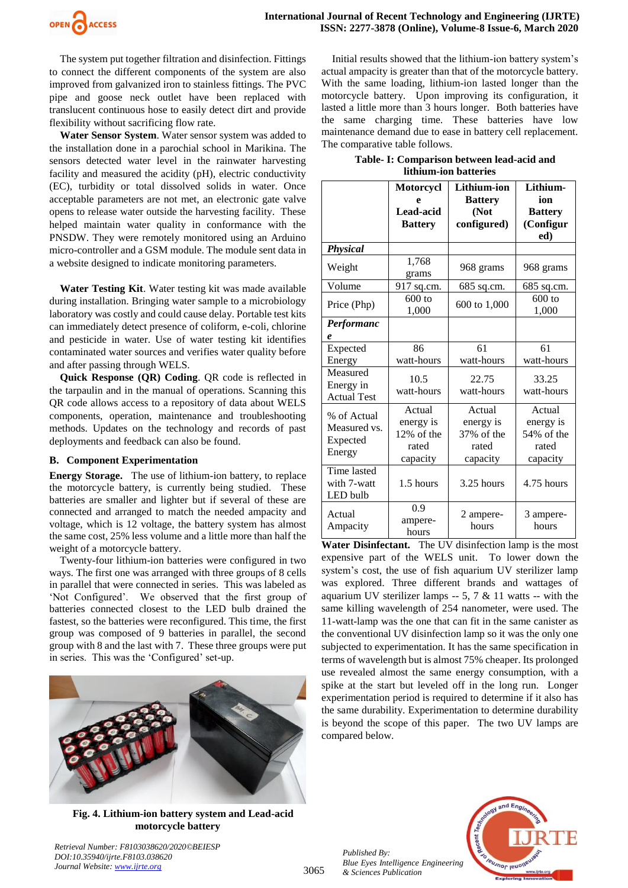

The system put together filtration and disinfection. Fittings to connect the different components of the system are also improved from galvanized iron to stainless fittings. The PVC pipe and goose neck outlet have been replaced with translucent continuous hose to easily detect dirt and provide flexibility without sacrificing flow rate.

**Water Sensor System**. Water sensor system was added to the installation done in a parochial school in Marikina. The sensors detected water level in the rainwater harvesting facility and measured the acidity (pH), electric conductivity (EC), turbidity or total dissolved solids in water. Once acceptable parameters are not met, an electronic gate valve opens to release water outside the harvesting facility. These helped maintain water quality in conformance with the PNSDW. They were remotely monitored using an Arduino micro-controller and a GSM module. The module sent data in a website designed to indicate monitoring parameters.

**Water Testing Kit**. Water testing kit was made available during installation. Bringing water sample to a microbiology laboratory was costly and could cause delay. Portable test kits can immediately detect presence of coliform, e-coli, chlorine and pesticide in water. Use of water testing kit identifies contaminated water sources and verifies water quality before and after passing through WELS.

**Quick Response (QR) Coding**. QR code is reflected in the tarpaulin and in the manual of operations. Scanning this QR code allows access to a repository of data about WELS components, operation, maintenance and troubleshooting methods. Updates on the technology and records of past deployments and feedback can also be found.

#### **B. Component Experimentation**

**Energy Storage.** The use of lithium-ion battery, to replace the motorcycle battery, is currently being studied. These batteries are smaller and lighter but if several of these are connected and arranged to match the needed ampacity and voltage, which is 12 voltage, the battery system has almost the same cost, 25% less volume and a little more than half the weight of a motorcycle battery.

Twenty-four lithium-ion batteries were configured in two ways. The first one was arranged with three groups of 8 cells in parallel that were connected in series. This was labeled as 'Not Configured'. We observed that the first group of batteries connected closest to the LED bulb drained the fastest, so the batteries were reconfigured. This time, the first group was composed of 9 batteries in parallel, the second group with 8 and the last with 7. These three groups were put in series. This was the 'Configured' set-up.



**Fig. 4. Lithium-ion battery system and Lead-acid motorcycle battery**

*Retrieval Number: F8103038620/2020©BEIESP*

*DOI:10.35940/ijrte.F8103.038620 Journal Website: www.ijrte.org*

Initial results showed that the lithium-ion battery system's actual ampacity is greater than that of the motorcycle battery. With the same loading, lithium-ion lasted longer than the motorcycle battery. Upon improving its configuration, it lasted a little more than 3 hours longer. Both batteries have the same charging time. These batteries have low maintenance demand due to ease in battery cell replacement. The comparative table follows.

|                       | Table- I: Comparison between lead-acid and |
|-----------------------|--------------------------------------------|
| lithium-ion batteries |                                            |

|                                                   | <b>Motorcycl</b><br>e<br>Lead-acid<br><b>Battery</b>   | Lithium-ion<br><b>Battery</b><br>(Not<br>configured)   | Lithium-<br>ion<br><b>Battery</b><br>(Configur<br>ed)  |
|---------------------------------------------------|--------------------------------------------------------|--------------------------------------------------------|--------------------------------------------------------|
| <b>Physical</b>                                   |                                                        |                                                        |                                                        |
| Weight                                            | 1,768<br>grams                                         | 968 grams                                              | 968 grams                                              |
| Volume                                            | 917 sq.cm.                                             | 685 sq.cm.                                             | 685 sq.cm.                                             |
| Price (Php)                                       | $600$ to<br>1,000                                      | 600 to 1,000                                           | $600$ to<br>1,000                                      |
| Performanc<br>e                                   |                                                        |                                                        |                                                        |
| Expected                                          | 86                                                     | 61                                                     | 61                                                     |
| Energy                                            | watt-hours                                             | watt-hours                                             | watt-hours                                             |
| Measured<br>Energy in<br><b>Actual Test</b>       | 10.5<br>watt-hours                                     | 22.75<br>watt-hours                                    | 33.25<br>watt-hours                                    |
| % of Actual<br>Measured vs.<br>Expected<br>Energy | Actual<br>energy is<br>12% of the<br>rated<br>capacity | Actual<br>energy is<br>37% of the<br>rated<br>capacity | Actual<br>energy is<br>54% of the<br>rated<br>capacity |
| Time lasted<br>with 7-watt<br>LED bulb            | 1.5 hours                                              | 3.25 hours                                             | 4.75 hours                                             |
| Actual<br>Ampacity                                | 0.9<br>ampere-<br>hours                                | 2 ampere-<br>hours                                     | 3 ampere-<br>hours                                     |

**Water Disinfectant.** The UV disinfection lamp is the most expensive part of the WELS unit. To lower down the system's cost, the use of fish aquarium UV sterilizer lamp was explored. Three different brands and wattages of aquarium UV sterilizer lamps  $-5$ , 7 & 11 watts  $-$  with the same killing wavelength of 254 nanometer, were used. The 11-watt-lamp was the one that can fit in the same canister as the conventional UV disinfection lamp so it was the only one subjected to experimentation. It has the same specification in terms of wavelength but is almost 75% cheaper. Its prolonged use revealed almost the same energy consumption, with a spike at the start but leveled off in the long run. Longer experimentation period is required to determine if it also has the same durability. Experimentation to determine durability is beyond the scope of this paper. The two UV lamps are compared below.

*Published By: Blue Eyes Intelligence Engineering & Sciences Publication* 



3065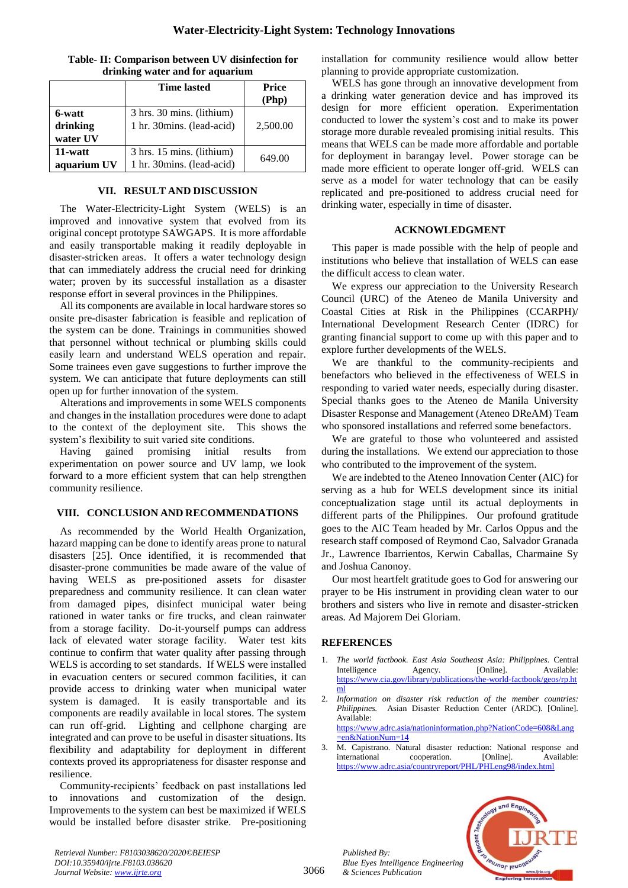| Table- II: Comparison between UV disinfection for |  |  |
|---------------------------------------------------|--|--|
| drinking water and for aquarium                   |  |  |

|             | <b>Time lasted</b>         | <b>Price</b> |  |
|-------------|----------------------------|--------------|--|
|             |                            | (Php)        |  |
| 6-watt      | 3 hrs. 30 mins. (lithium)  |              |  |
| drinking    | 1 hr. 30mins. (lead-acid)  | 2,500.00     |  |
| water UV    |                            |              |  |
| 11-watt     | 3 hrs. 15 mins. (lithium)  | 649.00       |  |
| aquarium UV | 1 hr. 30 mins. (lead-acid) |              |  |

## **VII. RESULT AND DISCUSSION**

The Water-Electricity-Light System (WELS) is an improved and innovative system that evolved from its original concept prototype SAWGAPS. It is more affordable and easily transportable making it readily deployable in disaster-stricken areas. It offers a water technology design that can immediately address the crucial need for drinking water; proven by its successful installation as a disaster response effort in several provinces in the Philippines.

All its components are available in local hardware stores so onsite pre-disaster fabrication is feasible and replication of the system can be done. Trainings in communities showed that personnel without technical or plumbing skills could easily learn and understand WELS operation and repair. Some trainees even gave suggestions to further improve the system. We can anticipate that future deployments can still open up for further innovation of the system.

Alterations and improvements in some WELS components and changes in the installation procedures were done to adapt to the context of the deployment site. This shows the system's flexibility to suit varied site conditions.

Having gained promising initial results from experimentation on power source and UV lamp, we look forward to a more efficient system that can help strengthen community resilience.

#### **VIII. CONCLUSION AND RECOMMENDATIONS**

As recommended by the World Health Organization, hazard mapping can be done to identify areas prone to natural disasters [25]. Once identified, it is recommended that disaster-prone communities be made aware of the value of having WELS as pre-positioned assets for disaster preparedness and community resilience. It can clean water from damaged pipes, disinfect municipal water being rationed in water tanks or fire trucks, and clean rainwater from a storage facility. Do-it-yourself pumps can address lack of elevated water storage facility. Water test kits continue to confirm that water quality after passing through WELS is according to set standards. If WELS were installed in evacuation centers or secured common facilities, it can provide access to drinking water when municipal water system is damaged. It is easily transportable and its components are readily available in local stores. The system can run off-grid. Lighting and cellphone charging are integrated and can prove to be useful in disaster situations. Its flexibility and adaptability for deployment in different contexts proved its appropriateness for disaster response and resilience.

Community-recipients' feedback on past installations led to innovations and customization of the design. Improvements to the system can best be maximized if WELS would be installed before disaster strike. Pre-positioning installation for community resilience would allow better planning to provide appropriate customization.

WELS has gone through an innovative development from a drinking water generation device and has improved its design for more efficient operation. Experimentation conducted to lower the system's cost and to make its power storage more durable revealed promising initial results. This means that WELS can be made more affordable and portable for deployment in barangay level. Power storage can be made more efficient to operate longer off-grid. WELS can serve as a model for water technology that can be easily replicated and pre-positioned to address crucial need for drinking water, especially in time of disaster.

#### **ACKNOWLEDGMENT**

This paper is made possible with the help of people and institutions who believe that installation of WELS can ease the difficult access to clean water.

We express our appreciation to the University Research Council (URC) of the Ateneo de Manila University and Coastal Cities at Risk in the Philippines (CCARPH)/ International Development Research Center (IDRC) for granting financial support to come up with this paper and to explore further developments of the WELS.

We are thankful to the community-recipients and benefactors who believed in the effectiveness of WELS in responding to varied water needs, especially during disaster. Special thanks goes to the Ateneo de Manila University Disaster Response and Management (Ateneo DReAM) Team who sponsored installations and referred some benefactors.

We are grateful to those who volunteered and assisted during the installations. We extend our appreciation to those who contributed to the improvement of the system.

We are indebted to the Ateneo Innovation Center (AIC) for serving as a hub for WELS development since its initial conceptualization stage until its actual deployments in different parts of the Philippines. Our profound gratitude goes to the AIC Team headed by Mr. Carlos Oppus and the research staff composed of Reymond Cao, Salvador Granada Jr., Lawrence Ibarrientos, Kerwin Caballas, Charmaine Sy and Joshua Canonoy.

Our most heartfelt gratitude goes to God for answering our prayer to be His instrument in providing clean water to our brothers and sisters who live in remote and disaster-stricken areas. Ad Majorem Dei Gloriam.

# **REFERENCES**

*Published By:*

*& Sciences Publication* 

1. *The world factbook. East Asia Southeast Asia: Philippines.* Central Intelligence Agency. [Online]. Available: [https://www.cia.gov/library/publications/the-world-factbook/geos/rp.ht](https://www.cia.gov/library/publications/the-world-factbook/geos/rp.html) [ml](https://www.cia.gov/library/publications/the-world-factbook/geos/rp.html)

2. *Information on disaster risk reduction of the member countries: Philippines.* Asian Disaster Reduction Center (ARDC). [Online]. Available: [https://www.adrc.asia/nationinformation.php?NationCode=608&Lang](https://www.adrc.asia/nationinformation.php?NationCode=608&Lang=en&NationNum=14) [=en&NationNum=14](https://www.adrc.asia/nationinformation.php?NationCode=608&Lang=en&NationNum=14)

3. M. Capistrano. Natural disaster reduction: National response and international cooperation. [Online]. Available: <https://www.adrc.asia/countryreport/PHL/PHLeng98/index.html>



*Retrieval Number: F8103038620/2020©BEIESP DOI:10.35940/ijrte.F8103.038620 Journal Website: www.ijrte.org*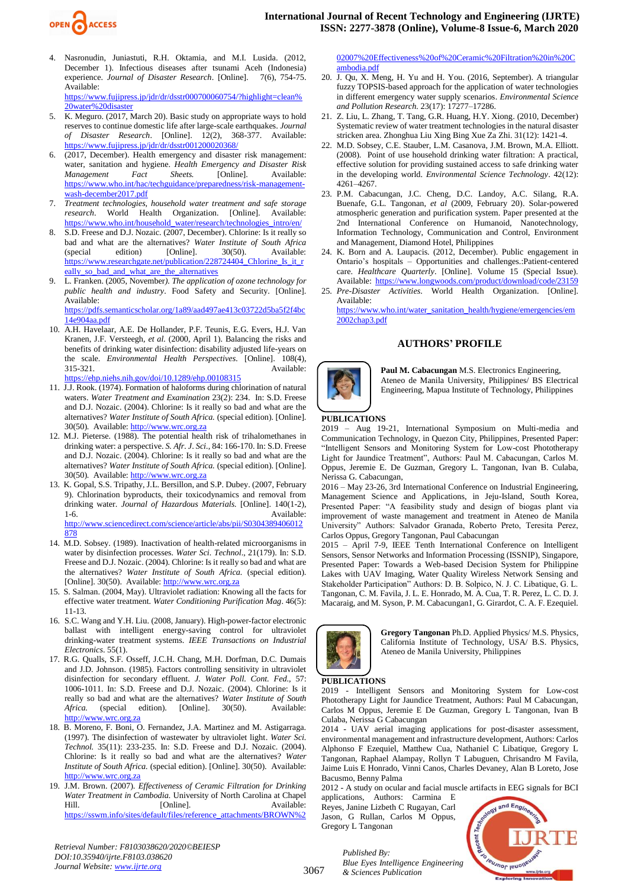

- 4. Nasronudin, Juniastuti, R.H. Oktamia, and M.I. Lusida. (2012, December 1). Infectious diseases after tsunami Aceh (Indonesia) experience. Journal of Disaster Research. [Online]. 7(6). 754-75. experience. *Journal of Disaster Research*. [Online]. Available: [https://www.fujipress.jp/jdr/dr/dsstr000700060754/?highlight=clean%](https://www.fujipress.jp/jdr/dr/dsstr000700060754/?highlight=clean%20water%20disaster) [20water%20disaster](https://www.fujipress.jp/jdr/dr/dsstr000700060754/?highlight=clean%20water%20disaster)
- $\overline{K}$ . Meguro. (2017, March 20). Basic study on appropriate ways to hold reserves to continue domestic life after large-scale earthquakes. *Journal of Disaster Research*. [Online]. 12(2), 368-377. Available: <https://www.fujipress.jp/jdr/dr/dsstr001200020368/>
- 6. (2017, December). Health emergency and disaster risk management: water, sanitation and hygiene. *Health Emergency and Disaster Risk Management Fact Sheets.* [Online]. Available: [https://www.who.int/hac/techguidance/preparedness/risk-management](https://www.who.int/hac/techguidance/preparedness/risk-management-wash-december2017.pdf)[wash-december2017.pdf](https://www.who.int/hac/techguidance/preparedness/risk-management-wash-december2017.pdf)
- 7. *Treatment technologies, household water treatment and safe storage research*. World Health Organization. [Online]. Available: [https://www.who.int/household\\_water/research/technologies\\_intro/en/](https://www.who.int/household_water/research/technologies_intro/en/)
- 8. S.D. Freese and D.J. Nozaic. (2007, December). Chlorine: Is it really so bad and what are the alternatives? *Water Institute of South Africa* (special edition) [Online]. 30(50). Available: (special edition) [Online]. 30(50). Available: [https://www.researchgate.net/publication/228724404\\_Chlorine\\_Is\\_it\\_r](https://www.researchgate.net/publication/228724404_Chlorine_Is_it_really_so_bad_and_what_are_the_alternatives) [eally\\_so\\_bad\\_and\\_what\\_are\\_the\\_alternatives](https://www.researchgate.net/publication/228724404_Chlorine_Is_it_really_so_bad_and_what_are_the_alternatives)
- 9. L. Franken. (2005, November*). The application of ozone technology for public health and industry*. Food Safety and Security. [Online]. Available: [https://pdfs.semanticscholar.org/1a89/aad497ae413c03722d5ba5f2f4bc](https://pdfs.semanticscholar.org/1a89/aad497ae413c03722d5ba5f2f4bc14e904aa.pdf)

[14e904aa.pdf](https://pdfs.semanticscholar.org/1a89/aad497ae413c03722d5ba5f2f4bc14e904aa.pdf)

- 10. A.H. Havelaar, A.E. De Hollander, P.F. Teunis, E.G. Evers, H.J. Van Kranen, J.F. Versteegh, *et al.* (2000, April 1). Balancing the risks and benefits of drinking water disinfection: disability adjusted life-years on the scale. *Environmental Health Perspectives.* [Online]. 108(4), 315-321. Available: ://ehp.niehs.nih.gov/doi/10.1289/ehp.00108315
- 11. J.J. Rook. (1974). Formation of haloforms during chlorination of natural waters. *Water Treatment and Examination* 23(2): 234. In: S.D. Freese and D.J. Nozaic. (2004). Chlorine: Is it really so bad and what are the alternatives? *Water Institute of South Africa.* (special edition). [Online]. 30(50). Available: [http://www.wrc.org.za](http://www.wrc.org.za/)
- 12. M.J. Pieterse. (1988). The potential health risk of trihalomethanes in drinking water: a perspective. *S. Afr. J*. *Sci.*, 84: 166-170. In: S.D. Freese and D.J. Nozaic. (2004). Chlorine: Is it really so bad and what are the alternatives? *Water Institute of South Africa.* (special edition). [Online]. 30(50). Available: [http://www.wrc.org.za](http://www.wrc.org.za/)
- 13. K. Gopal, S.S. Tripathy, J.L. Bersillon, and S.P. Dubey. (2007, February 9). Chlorination byproducts, their toxicodynamics and removal from drinking water. *Journal of Hazardous Materials.* [Online]. 140(1-2), 1-6. Available: [http://www.sciencedirect.com/science/article/abs/pii/S0304389406012](http://www.sciencedirect.com/science/article/abs/pii/S0304389406012878) [878](http://www.sciencedirect.com/science/article/abs/pii/S0304389406012878)
- 14. M.D. Sobsey. (1989). Inactivation of health-related microorganisms in water by disinfection processes. *Water Sci. Technol*., 21(179). In: S.D. Freese and D.J. Nozaic. (2004). Chlorine: Is it really so bad and what are the alternatives? *Water Institute of South Africa.* (special edition). [Online]. 30(50). Available: [http://www.wrc.org.za](http://www.wrc.org.za/)
- 15. S. Salman. (2004, May). Ultraviolet radiation: Knowing all the facts for effective water treatment. *Water Conditioning Purification Mag*. 46(5): 11-13.
- 16. S.C. Wang and Y.H. Liu. (2008, January). High-power-factor electronic ballast with intelligent energy-saving control for ultraviolet drinking-water treatment systems. *IEEE Transactions on Industrial Electronics*. 55(1).
- 17. R.G. Qualls, S.F. Osseff, J.C.H. Chang, M.H. Dorfman, D.C. Dumais and J.D. Johnson. (1985). Factors controlling sensitivity in ultraviolet disinfection for secondary effluent. *J. Water Poll. Cont. Fed.,* 57: 1006-1011. In: S.D. Freese and D.J. Nozaic. (2004). Chlorine: Is it really so bad and what are the alternatives? *Water Institute of South*  Africa. (special edition). [Online]. 30(50). Available: [http://www.wrc.org.za](http://www.wrc.org.za/)
- 18. B. Moreno, F. Boni, O. Fernandez, J.A. Martinez and M. Astigarraga. (1997). The disinfection of wastewater by ultraviolet light. *Water Sci. Technol.* 35(11): 233-235. In: S.D. Freese and D.J. Nozaic. (2004). Chlorine: Is it really so bad and what are the alternatives? *Water Institute of South Africa.* (special edition). [Online]. 30(50). Available: [http://www.wrc.org.za](http://www.wrc.org.za/)
- 19. J.M. Brown. (2007). *Effectiveness of Ceramic Filtration for Drinking Water Treatment in Cambodia.* University of North Carolina at Chapel Hill. [Online]. Available: [https://sswm.info/sites/default/files/reference\\_attachments/BROWN%2](https://sswm.info/sites/default/files/reference_attachments/BROWN%202007%20Effectiveness%20of%20Ceramic%20Filtration%20in%20Cambodia.pdf)

[02007%20Effectiveness%20of%20Ceramic%20Filtration%20in%20C](https://sswm.info/sites/default/files/reference_attachments/BROWN%202007%20Effectiveness%20of%20Ceramic%20Filtration%20in%20Cambodia.pdf) [ambodia.pdf](https://sswm.info/sites/default/files/reference_attachments/BROWN%202007%20Effectiveness%20of%20Ceramic%20Filtration%20in%20Cambodia.pdf)

- 20. J. Qu, X. Meng, H. Yu and H. You. (2016, September). A triangular fuzzy TOPSIS-based approach for the application of water technologies in different emergency water supply scenarios. *Environmental Science and Pollution Research.* 23(17): 17277–17286.
- 21. Z. Liu, L. Zhang, T. Tang, G.R. Huang, H.Y. Xiong. (2010, December) Systematic review of water treatment technologies in the natural disaster stricken area. Zhonghua Liu Xing Bing Xue Za Zhi. 31(12): 1421-4.
- 22. M.D. Sobsey, C.E. Stauber, L.M. Casanova, J.M. Brown, M.A. Elliott. (2008). Point of use household drinking water filtration: A practical, effective solution for providing sustained access to safe drinking water in the developing world. *Environmental Science Technology*. 42(12): 4261–4267.
- 23. P.M. Cabacungan, J.C. Cheng, D.C. Landoy, A.C. Silang, R.A. Buenafe, G.L. Tangonan, *et al* (2009, February 20). Solar-powered atmospheric generation and purification system. Paper presented at the 2nd International Conference on Humanoid, Nanotechnology, Information Technology, Communication and Control, Environment and Management, Diamond Hotel, Philippines
- 24. K. Born and A. Laupacis. (2012, December). Public engagement in Ontario's hospitals – Opportunities and challenges.:Patient-centered care. *Healthcare Quarterly*. [Online]. Volume 15 (Special Issue).
- Available:<https://www.longwoods.com/product/download/code/23159><br>25. Pre-Disaster Activities. World Health Organization. [Online]. 25. *Pre-Disaster Activities*. World Health Organization. [Online]. Available:

[https://www.who.int/water\\_sanitation\\_health/hygiene/emergencies/em](https://www.who.int/water_sanitation_health/hygiene/emergencies/em2002chap3.pdf) [2002chap3.pdf](https://www.who.int/water_sanitation_health/hygiene/emergencies/em2002chap3.pdf)

#### **AUTHORS' PROFILE**



**Paul M. Cabacungan** M.S. Electronics Engineering, Ateneo de Manila University, Philippines/ BS Electrical Engineering, Mapua Institute of Technology, Philippines

#### **PUBLICATIONS**

2019 – Aug 19-21, International Symposium on Multi-media and Communication Technology, in Quezon City, Philippines, Presented Paper: "Intelligent Sensors and Monitoring System for Low-cost Phototherapy Light for Jaundice Treatment", Authors: Paul M. Cabacungan, Carlos M. Oppus, Jeremie E. De Guzman, Gregory L. Tangonan, Ivan B. Culaba, Nerissa G. Cabacungan,

2016 – May 23-26, 3rd International Conference on Industrial Engineering, Management Science and Applications, in Jeju-Island, South Korea, Presented Paper: "A feasibility study and design of biogas plant via improvement of waste management and treatment in Ateneo de Manila University" Authors: Salvador Granada, Roberto Preto, Teresita Perez, Carlos Oppus, Gregory Tangonan, Paul Cabacungan

2015 – April 7-9, IEEE Tenth International Conference on Intelligent Sensors, Sensor Networks and Information Processing (ISSNIP), Singapore, Presented Paper: Towards a Web-based Decision System for Philippine Lakes with UAV Imaging, Water Quality Wireless Network Sensing and Stakeholder Participation" Authors: D. B. Solpico, N. J. C. Libatique, G. L. Tangonan, C. M. Favila, J. L. E. Honrado, M. A. Cua, T. R. Perez, L. C. D. J. Macaraig, and M. Syson, P. M. Cabacungan1, G. Girardot, C. A. F. Ezequiel.



**Gregory Tangonan** Ph.D. Applied Physics/ M.S. Physics, California Institute of Technology, USA/ B.S. Physics, Ateneo de Manila University, Philippines

#### **PUBLICATIONS**

2019 - Intelligent Sensors and Monitoring System for Low-cost Phototherapy Light for Jaundice Treatment, Authors: Paul M Cabacungan, Carlos M Oppus, Jeremie E De Guzman, Gregory L Tangonan, Ivan B Culaba, Nerissa G Cabacungan

2014 - UAV aerial imaging applications for post-disaster assessment, environmental management and infrastructure development, Authors: Carlos Alphonso F Ezequiel, Matthew Cua, Nathaniel C Libatique, Gregory L Tangonan, Raphael Alampay, Rollyn T Labuguen, Chrisandro M Favila, Jaime Luis E Honrado, Vinni Canos, Charles Devaney, Alan B Loreto, Jose Bacusmo, Benny Palma

2012 - A study on ocular and facial muscle artifacts in EEG signals for BCI

applications, Authors: Carmina E Reyes, Janine Lizbeth C Rugayan, Carl Jason, G Rullan, Carlos M Oppus, Gregory L Tangonan



*Retrieval Number: F8103038620/2020©BEIESP DOI:10.35940/ijrte.F8103.038620 Journal Website: www.ijrte.org*

3067

*Published By: Blue Eyes Intelligence Engineering & Sciences Publication*